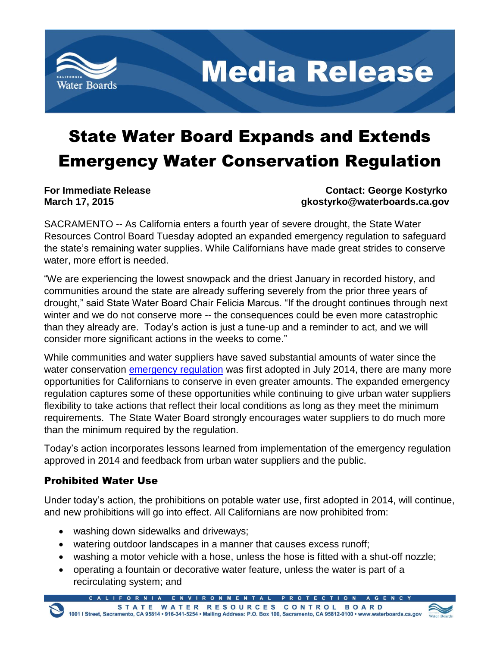

**Media Release** 

## State Water Board Expands and Extends Emergency Water Conservation Regulation

**For Immediate Release Contact: George Kostyrko March 17, 2015 gkostyrko@waterboards.ca.gov**

SACRAMENTO -- As California enters a fourth year of severe drought, the State Water Resources Control Board Tuesday adopted an expanded emergency regulation to safeguard the state's remaining water supplies. While Californians have made great strides to conserve water, more effort is needed.

"We are experiencing the lowest snowpack and the driest January in recorded history, and communities around the state are already suffering severely from the prior three years of drought," said State Water Board Chair Felicia Marcus. "If the drought continues through next winter and we do not conserve more -- the consequences could be even more catastrophic than they already are. Today's action is just a tune-up and a reminder to act, and we will consider more significant actions in the weeks to come."

While communities and water suppliers have saved substantial amounts of water since the water conservation [emergency regulation](http://www.waterboards.ca.gov/waterrights/water_issues/programs/drought/emergency_regulations_waterconservation.shtml) was first adopted in July 2014, there are many more opportunities for Californians to conserve in even greater amounts. The expanded emergency regulation captures some of these opportunities while continuing to give urban water suppliers flexibility to take actions that reflect their local conditions as long as they meet the minimum requirements. The State Water Board strongly encourages water suppliers to do much more than the minimum required by the regulation.

Today's action incorporates lessons learned from implementation of the emergency regulation approved in 2014 and feedback from urban water suppliers and the public.

## Prohibited Water Use

Under today's action, the prohibitions on potable water use, first adopted in 2014, will continue, and new prohibitions will go into effect. All Californians are now prohibited from:

- washing down sidewalks and driveways;
- watering outdoor landscapes in a manner that causes excess runoff;
- washing a motor vehicle with a hose, unless the hose is fitted with a shut-off nozzle;
- operating a fountain or decorative water feature, unless the water is part of a recirculating system; and

ALIFORNIA ENVIRONMENTAL PROTE

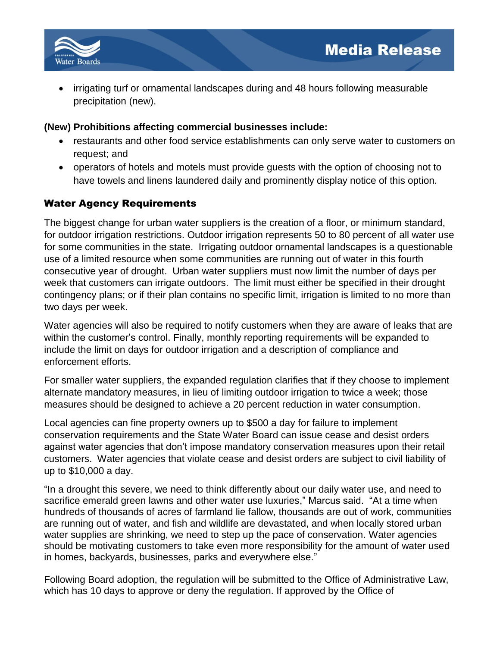

 irrigating turf or ornamental landscapes during and 48 hours following measurable precipitation (new).

## **(New) Prohibitions affecting commercial businesses include:**

- restaurants and other food service establishments can only serve water to customers on request; and
- operators of hotels and motels must provide guests with the option of choosing not to have towels and linens laundered daily and prominently display notice of this option.

## Water Agency Requirements

The biggest change for urban water suppliers is the creation of a floor, or minimum standard, for outdoor irrigation restrictions. Outdoor irrigation represents 50 to 80 percent of all water use for some communities in the state. Irrigating outdoor ornamental landscapes is a questionable use of a limited resource when some communities are running out of water in this fourth consecutive year of drought. Urban water suppliers must now limit the number of days per week that customers can irrigate outdoors. The limit must either be specified in their drought contingency plans; or if their plan contains no specific limit, irrigation is limited to no more than two days per week.

Water agencies will also be required to notify customers when they are aware of leaks that are within the customer's control. Finally, monthly reporting requirements will be expanded to include the limit on days for outdoor irrigation and a description of compliance and enforcement efforts.

For smaller water suppliers, the expanded regulation clarifies that if they choose to implement alternate mandatory measures, in lieu of limiting outdoor irrigation to twice a week; those measures should be designed to achieve a 20 percent reduction in water consumption.

Local agencies can fine property owners up to \$500 a day for failure to implement conservation requirements and the State Water Board can issue cease and desist orders against water agencies that don't impose mandatory conservation measures upon their retail customers. Water agencies that violate cease and desist orders are subject to civil liability of up to \$10,000 a day.

"In a drought this severe, we need to think differently about our daily water use, and need to sacrifice emerald green lawns and other water use luxuries," Marcus said. "At a time when hundreds of thousands of acres of farmland lie fallow, thousands are out of work, communities are running out of water, and fish and wildlife are devastated, and when locally stored urban water supplies are shrinking, we need to step up the pace of conservation. Water agencies should be motivating customers to take even more responsibility for the amount of water used in homes, backyards, businesses, parks and everywhere else."

Following Board adoption, the regulation will be submitted to the Office of Administrative Law, which has 10 days to approve or deny the regulation. If approved by the Office of